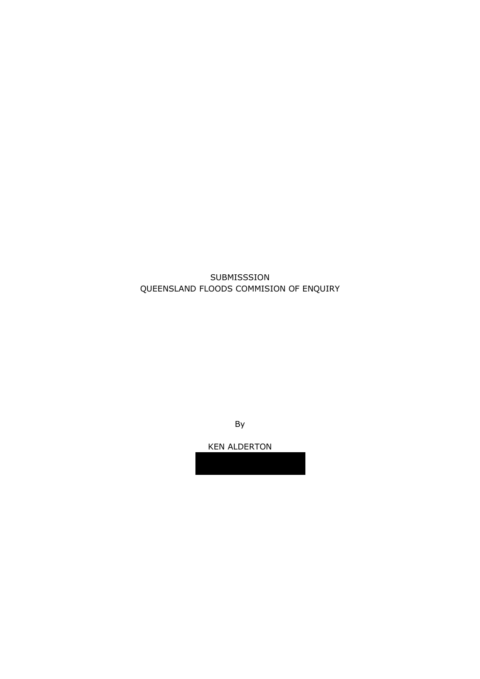## SUBMISSSION QUEENSLAND FLOODS COMMISION OF ENQUIRY

By

KEN ALDERTON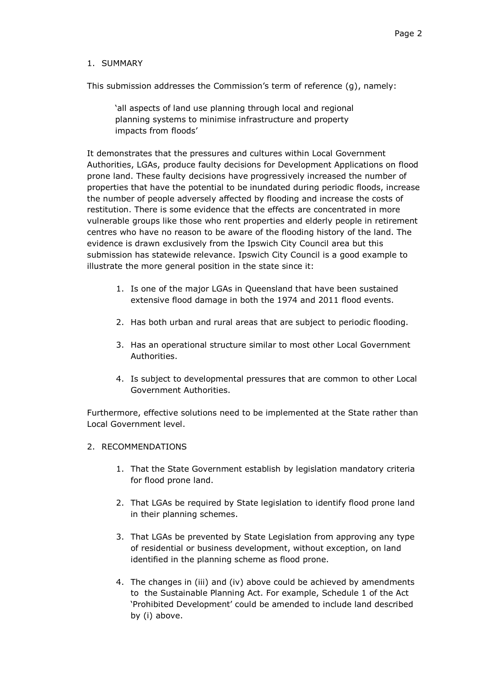## 1. SUMMARY

This submission addresses the Commission's term of reference (g), namely:

'all aspects of land use planning through local and regional planning systems to minimise infrastructure and property impacts from floods'

It demonstrates that the pressures and cultures within Local Government Authorities, LGAs, produce faulty decisions for Development Applications on flood prone land. These faulty decisions have progressively increased the number of properties that have the potential to be inundated during periodic floods, increase the number of people adversely affected by flooding and increase the costs of restitution. There is some evidence that the effects are concentrated in more vulnerable groups like those who rent properties and elderly people in retirement centres who have no reason to be aware of the flooding history of the land. The evidence is drawn exclusively from the Ipswich City Council area but this submission has statewide relevance. Ipswich City Council is a good example to illustrate the more general position in the state since it:

- 1. Is one of the major LGAs in Queensland that have been sustained extensive flood damage in both the 1974 and 2011 flood events.
- 2. Has both urban and rural areas that are subject to periodic flooding.
- 3. Has an operational structure similar to most other Local Government Authorities.
- 4. Is subject to developmental pressures that are common to other Local Government Authorities.

Furthermore, effective solutions need to be implemented at the State rather than Local Government level.

- 2. RECOMMENDATIONS
	- 1. That the State Government establish by legislation mandatory criteria for flood prone land.
	- 2. That LGAs be required by State legislation to identify flood prone land in their planning schemes.
	- 3. That LGAs be prevented by State Legislation from approving any type of residential or business development, without exception, on land identified in the planning scheme as flood prone.
	- 4. The changes in (iii) and (iv) above could be achieved by amendments to the Sustainable Planning Act. For example, Schedule 1 of the Act ‗Prohibited Development' could be amended to include land described by (i) above.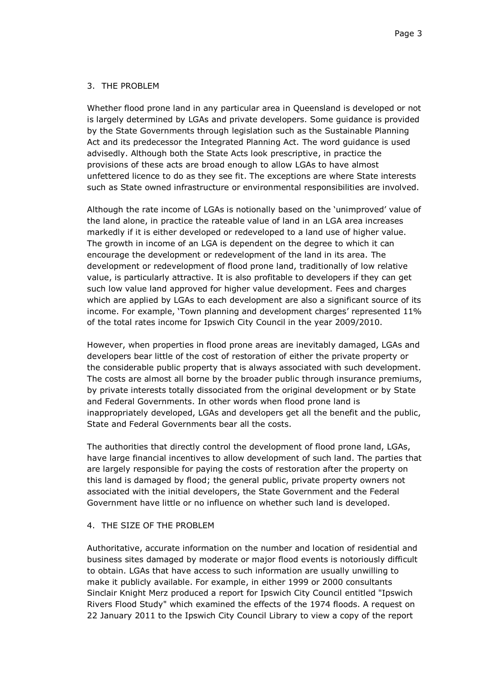### 3. THE PROBLEM

Whether flood prone land in any particular area in Queensland is developed or not is largely determined by LGAs and private developers. Some guidance is provided by the State Governments through legislation such as the Sustainable Planning Act and its predecessor the Integrated Planning Act. The word guidance is used advisedly. Although both the State Acts look prescriptive, in practice the provisions of these acts are broad enough to allow LGAs to have almost unfettered licence to do as they see fit. The exceptions are where State interests such as State owned infrastructure or environmental responsibilities are involved.

Although the rate income of LGAs is notionally based on the 'unimproved' value of the land alone, in practice the rateable value of land in an LGA area increases markedly if it is either developed or redeveloped to a land use of higher value. The growth in income of an LGA is dependent on the degree to which it can encourage the development or redevelopment of the land in its area. The development or redevelopment of flood prone land, traditionally of low relative value, is particularly attractive. It is also profitable to developers if they can get such low value land approved for higher value development. Fees and charges which are applied by LGAs to each development are also a significant source of its income. For example, 'Town planning and development charges' represented 11% of the total rates income for Ipswich City Council in the year 2009/2010.

However, when properties in flood prone areas are inevitably damaged, LGAs and developers bear little of the cost of restoration of either the private property or the considerable public property that is always associated with such development. The costs are almost all borne by the broader public through insurance premiums, by private interests totally dissociated from the original development or by State and Federal Governments. In other words when flood prone land is inappropriately developed, LGAs and developers get all the benefit and the public, State and Federal Governments bear all the costs.

The authorities that directly control the development of flood prone land, LGAs, have large financial incentives to allow development of such land. The parties that are largely responsible for paying the costs of restoration after the property on this land is damaged by flood; the general public, private property owners not associated with the initial developers, the State Government and the Federal Government have little or no influence on whether such land is developed.

### 4. THE SIZE OF THE PROBLEM

Authoritative, accurate information on the number and location of residential and business sites damaged by moderate or major flood events is notoriously difficult to obtain. LGAs that have access to such information are usually unwilling to make it publicly available. For example, in either 1999 or 2000 consultants Sinclair Knight Merz produced a report for Ipswich City Council entitled "Ipswich Rivers Flood Study" which examined the effects of the 1974 floods. A request on 22 January 2011 to the Ipswich City Council Library to view a copy of the report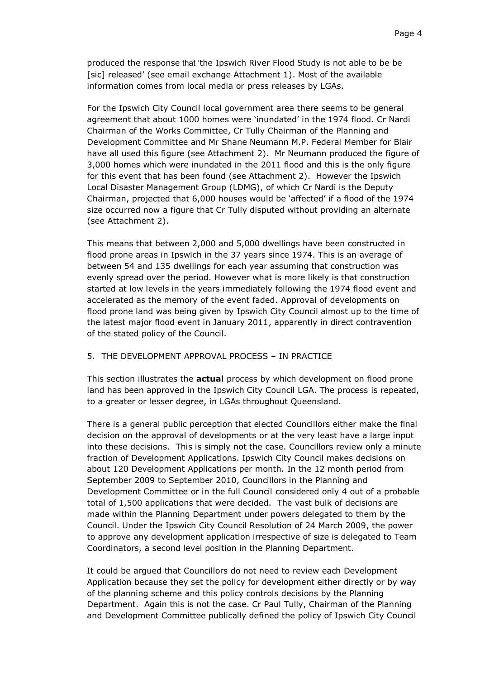produced the response that 'the Ipswich River Flood Study is not able to be be [sic] released' (see email exchange Attachment 1). Most of the available information comes from local media or press releases by LGAs.

For the Ipswich City Council local government area there seems to be general agreement that about 1000 homes were 'inundated' in the 1974 flood. Cr Nardi Chairman of the Works Committee, Cr Tully Chairman of the Planning and Development Committee and Mr Shane Neumann M.P. Federal Member for Blair have all used this figure (see Attachment 2). Mr Neumann produced the figure of 3,000 homes which were inundated in the 2011 flood and this is the only figure for this event that has been found (see Attachment 2). However the Ipswich Local Disaster Management Group (LDMG), of which Cr Nardi is the Deputy Chairman, projected that 6,000 houses would be 'affected' if a flood of the 1974 size occurred now a figure that Cr Tully disputed without providing an alternate (see Attachment 2).

This means that between 2,000 and 5,000 dwellings have been constructed in flood prone areas in Ipswich in the 37 years since 1974. This is an average of between 54 and 135 dwellings for each year assuming that construction was evenly spread over the period. However what is more likely is that construction started at low levels in the years immediately following the 1974 flood event and accelerated as the memory of the event faded. Approval of developments on flood prone land was being given by Ipswich City Council almost up to the time of the latest major flood event in January 2011, apparently in direct contravention of the stated policy of the Council.

#### 5. THE DEVELOPMENT APPROVAL PROCESS – IN PRACTICE

This section illustrates the **actual** process by which development on flood prone land has been approved in the Ipswich City Council LGA. The process is repeated, to a greater or lesser degree, in LGAs throughout Queensland.

There is a general public perception that elected Councillors either make the final decision on the approval of developments or at the very least have a large input into these decisions. This is simply not the case. Councillors review only a minute fraction of Development Applications. Ipswich City Council makes decisions on about 120 Development Applications per month. In the 12 month period from September 2009 to September 2010, Councillors in the Planning and Development Committee or in the full Council considered only 4 out of a probable total of 1,500 applications that were decided. The vast bulk of decisions are made within the Planning Department under powers delegated to them by the Council. Under the Ipswich City Council Resolution of 24 March 2009, the power to approve any development application irrespective of size is delegated to Team Coordinators, a second level position in the Planning Department.

It could be argued that Councillors do not need to review each Development Application because they set the policy for development either directly or by way of the planning scheme and this policy controls decisions by the Planning Department. Again this is not the case. Cr Paul Tully, Chairman of the Planning and Development Committee publically defined the policy of Ipswich City Council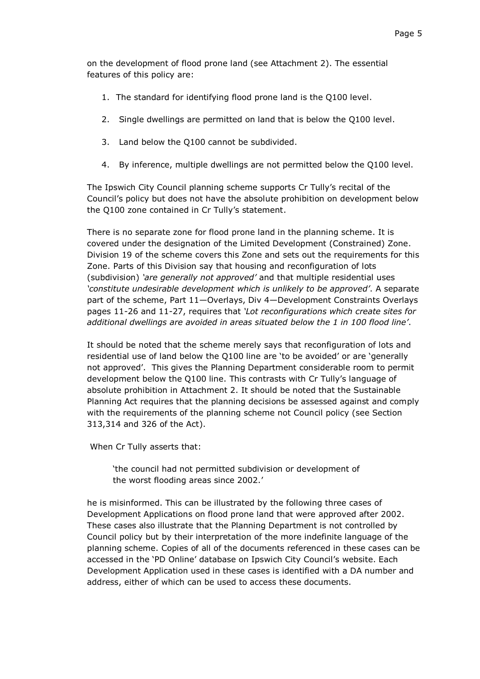on the development of flood prone land (see Attachment 2). The essential features of this policy are:

- 1. The standard for identifying flood prone land is the Q100 level.
- 2. Single dwellings are permitted on land that is below the Q100 level.
- 3. Land below the Q100 cannot be subdivided.
- 4. By inference, multiple dwellings are not permitted below the Q100 level.

The Ipswich City Council planning scheme supports Cr Tully's recital of the Council's policy but does not have the absolute prohibition on development below the Q100 zone contained in Cr Tully's statement.

There is no separate zone for flood prone land in the planning scheme. It is covered under the designation of the Limited Development (Constrained) Zone. Division 19 of the scheme covers this Zone and sets out the requirements for this Zone. Parts of this Division say that housing and reconfiguration of lots (subdivision) *'are generally not approved'* and that multiple residential uses *'constitute undesirable development which is unlikely to be approved'*. A separate part of the scheme, Part 11—Overlays, Div 4—Development Constraints Overlays pages 11-26 and 11-27, requires that *'Lot reconfigurations which create sites for additional dwellings are avoided in areas situated below the 1 in 100 flood line'*.

It should be noted that the scheme merely says that reconfiguration of lots and residential use of land below the Q100 line are 'to be avoided' or are 'generally not approved'. This gives the Planning Department considerable room to permit development below the Q100 line. This contrasts with Cr Tully's language of absolute prohibition in Attachment 2. It should be noted that the Sustainable Planning Act requires that the planning decisions be assessed against and comply with the requirements of the planning scheme not Council policy (see Section 313,314 and 326 of the Act).

When Cr Tully asserts that:

'the council had not permitted subdivision or development of the worst flooding areas since 2002.'

he is misinformed. This can be illustrated by the following three cases of Development Applications on flood prone land that were approved after 2002. These cases also illustrate that the Planning Department is not controlled by Council policy but by their interpretation of the more indefinite language of the planning scheme. Copies of all of the documents referenced in these cases can be accessed in the 'PD Online' database on Ipswich City Council's website. Each Development Application used in these cases is identified with a DA number and address, either of which can be used to access these documents.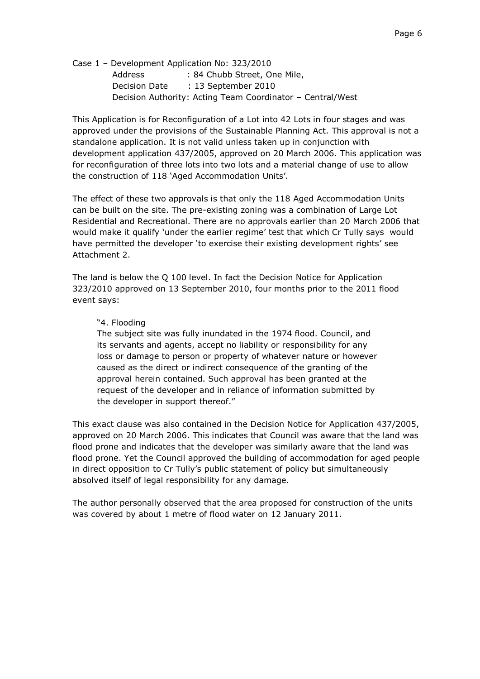Case 1 – Development Application No: 323/2010 Address : 84 Chubb Street, One Mile, Decision Date : 13 September 2010 Decision Authority: Acting Team Coordinator – Central/West

This Application is for Reconfiguration of a Lot into 42 Lots in four stages and was approved under the provisions of the Sustainable Planning Act. This approval is not a standalone application. It is not valid unless taken up in conjunction with development application 437/2005, approved on 20 March 2006. This application was for reconfiguration of three lots into two lots and a material change of use to allow the construction of 118 'Aged Accommodation Units'.

The effect of these two approvals is that only the 118 Aged Accommodation Units can be built on the site. The pre-existing zoning was a combination of Large Lot Residential and Recreational. There are no approvals earlier than 20 March 2006 that would make it qualify 'under the earlier regime' test that which Cr Tully says would have permitted the developer 'to exercise their existing development rights' see Attachment 2.

The land is below the Q 100 level. In fact the Decision Notice for Application 323/2010 approved on 13 September 2010, four months prior to the 2011 flood event says:

### ―4. Flooding

The subject site was fully inundated in the 1974 flood. Council, and its servants and agents, accept no liability or responsibility for any loss or damage to person or property of whatever nature or however caused as the direct or indirect consequence of the granting of the approval herein contained. Such approval has been granted at the request of the developer and in reliance of information submitted by the developer in support thereof."

This exact clause was also contained in the Decision Notice for Application 437/2005, approved on 20 March 2006. This indicates that Council was aware that the land was flood prone and indicates that the developer was similarly aware that the land was flood prone. Yet the Council approved the building of accommodation for aged people in direct opposition to Cr Tully's public statement of policy but simultaneously absolved itself of legal responsibility for any damage.

The author personally observed that the area proposed for construction of the units was covered by about 1 metre of flood water on 12 January 2011.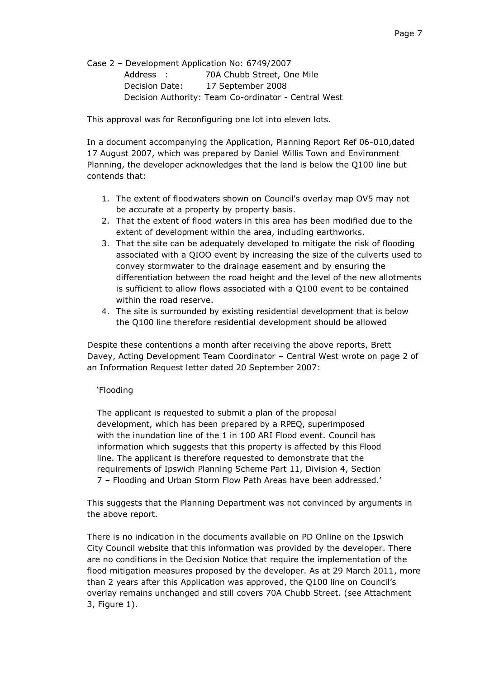Case 2 – Development Application No: 6749/2007 Address : 70A Chubb Street, One Mile Decision Date: 17 September 2008 Decision Authority: Team Co-ordinator - Central West

This approval was for Reconfiguring one lot into eleven lots.

In a document accompanying the Application, Planning Report Ref 06-010,dated 17 August 2007, which was prepared by Daniel Willis Town and Environment Planning, the developer acknowledges that the land is below the Q100 line but contends that:

- 1. The extent of floodwaters shown on Council's overlay map OV5 may not be accurate at a property by property basis.
- 2. That the extent of flood waters in this area has been modified due to the extent of development within the area, including earthworks.
- 3. That the site can be adequately developed to mitigate the risk of flooding associated with a QIOO event by increasing the size of the culverts used to convey stormwater to the drainage easement and by ensuring the differentiation between the road height and the level of the new allotments is sufficient to allow flows associated with a Q100 event to be contained within the road reserve.
- 4. The site is surrounded by existing residential development that is below the Q100 line therefore residential development should be allowed

Despite these contentions a month after receiving the above reports, Brett Davey, Acting Development Team Coordinator – Central West wrote on page 2 of an Information Request letter dated 20 September 2007:

### ‗Flooding

The applicant is requested to submit a plan of the proposal development, which has been prepared by a RPEQ, superimposed with the inundation line of the 1 in 100 ARI Flood event. Council has information which suggests that this property is affected by this Flood line. The applicant is therefore requested to demonstrate that the requirements of Ipswich Planning Scheme Part 11, Division 4, Section 7 – Flooding and Urban Storm Flow Path Areas have been addressed.'

This suggests that the Planning Department was not convinced by arguments in the above report.

There is no indication in the documents available on PD Online on the Ipswich City Council website that this information was provided by the developer. There are no conditions in the Decision Notice that require the implementation of the flood mitigation measures proposed by the developer. As at 29 March 2011, more than 2 years after this Application was approved, the Q100 line on Council's overlay remains unchanged and still covers 70A Chubb Street. (see Attachment 3, Figure 1).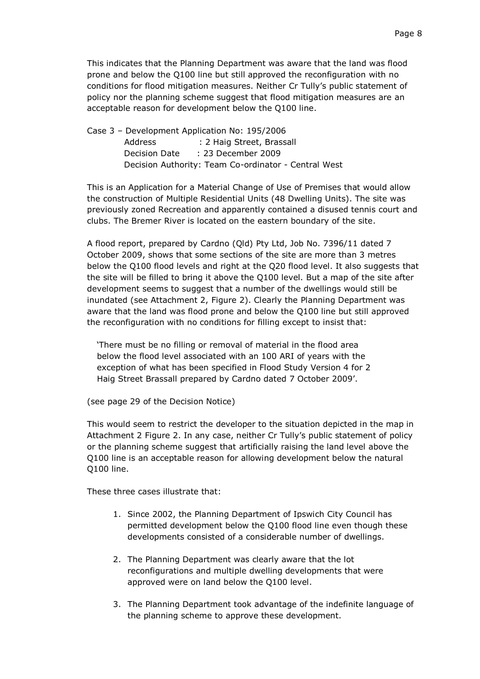This indicates that the Planning Department was aware that the land was flood prone and below the Q100 line but still approved the reconfiguration with no conditions for flood mitigation measures. Neither Cr Tully's public statement of policy nor the planning scheme suggest that flood mitigation measures are an acceptable reason for development below the Q100 line.

Case 3 – Development Application No: 195/2006 Address : 2 Haig Street, Brassall Decision Date : 23 December 2009 Decision Authority: Team Co-ordinator - Central West

This is an Application for a Material Change of Use of Premises that would allow the construction of Multiple Residential Units (48 Dwelling Units). The site was previously zoned Recreation and apparently contained a disused tennis court and clubs. The Bremer River is located on the eastern boundary of the site.

A flood report, prepared by Cardno (Qld) Pty Ltd, Job No. 7396/11 dated 7 October 2009, shows that some sections of the site are more than 3 metres below the Q100 flood levels and right at the Q20 flood level. It also suggests that the site will be filled to bring it above the Q100 level. But a map of the site after development seems to suggest that a number of the dwellings would still be inundated (see Attachment 2, Figure 2). Clearly the Planning Department was aware that the land was flood prone and below the Q100 line but still approved the reconfiguration with no conditions for filling except to insist that:

‗There must be no filling or removal of material in the flood area below the flood level associated with an 100 ARI of years with the exception of what has been specified in Flood Study Version 4 for 2 Haig Street Brassall prepared by Cardno dated 7 October 2009'.

(see page 29 of the Decision Notice)

This would seem to restrict the developer to the situation depicted in the map in Attachment 2 Figure 2. In any case, neither Cr Tully's public statement of policy or the planning scheme suggest that artificially raising the land level above the Q100 line is an acceptable reason for allowing development below the natural Q100 line.

These three cases illustrate that:

- 1. Since 2002, the Planning Department of Ipswich City Council has permitted development below the Q100 flood line even though these developments consisted of a considerable number of dwellings.
- 2. The Planning Department was clearly aware that the lot reconfigurations and multiple dwelling developments that were approved were on land below the Q100 level.
- 3. The Planning Department took advantage of the indefinite language of the planning scheme to approve these development.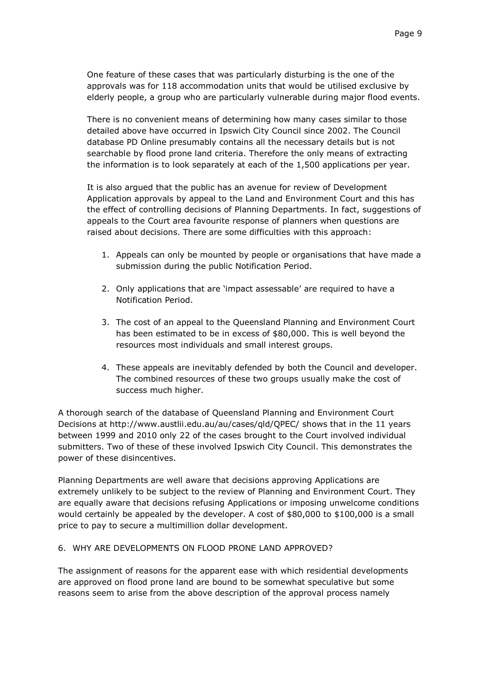One feature of these cases that was particularly disturbing is the one of the approvals was for 118 accommodation units that would be utilised exclusive by elderly people, a group who are particularly vulnerable during major flood events.

There is no convenient means of determining how many cases similar to those detailed above have occurred in Ipswich City Council since 2002. The Council database PD Online presumably contains all the necessary details but is not searchable by flood prone land criteria. Therefore the only means of extracting the information is to look separately at each of the 1,500 applications per year.

It is also argued that the public has an avenue for review of Development Application approvals by appeal to the Land and Environment Court and this has the effect of controlling decisions of Planning Departments. In fact, suggestions of appeals to the Court area favourite response of planners when questions are raised about decisions. There are some difficulties with this approach:

- 1. Appeals can only be mounted by people or organisations that have made a submission during the public Notification Period.
- 2. Only applications that are 'impact assessable' are required to have a Notification Period.
- 3. The cost of an appeal to the Queensland Planning and Environment Court has been estimated to be in excess of \$80,000. This is well beyond the resources most individuals and small interest groups.
- 4. These appeals are inevitably defended by both the Council and developer. The combined resources of these two groups usually make the cost of success much higher.

A thorough search of the database of Queensland Planning and Environment Court Decisions at http://www.austlii.edu.au/au/cases/qld/QPEC/ shows that in the 11 years between 1999 and 2010 only 22 of the cases brought to the Court involved individual submitters. Two of these of these involved Ipswich City Council. This demonstrates the power of these disincentives.

Planning Departments are well aware that decisions approving Applications are extremely unlikely to be subject to the review of Planning and Environment Court. They are equally aware that decisions refusing Applications or imposing unwelcome conditions would certainly be appealed by the developer. A cost of \$80,000 to \$100,000 is a small price to pay to secure a multimillion dollar development.

## 6. WHY ARE DEVELOPMENTS ON FLOOD PRONE LAND APPROVED?

The assignment of reasons for the apparent ease with which residential developments are approved on flood prone land are bound to be somewhat speculative but some reasons seem to arise from the above description of the approval process namely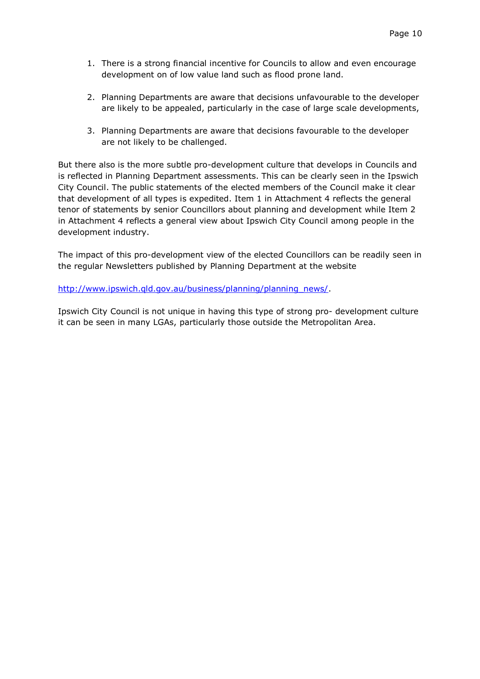- 1. There is a strong financial incentive for Councils to allow and even encourage development on of low value land such as flood prone land.
- 2. Planning Departments are aware that decisions unfavourable to the developer are likely to be appealed, particularly in the case of large scale developments,
- 3. Planning Departments are aware that decisions favourable to the developer are not likely to be challenged.

But there also is the more subtle pro-development culture that develops in Councils and is reflected in Planning Department assessments. This can be clearly seen in the Ipswich City Council. The public statements of the elected members of the Council make it clear that development of all types is expedited. Item 1 in Attachment 4 reflects the general tenor of statements by senior Councillors about planning and development while Item 2 in Attachment 4 reflects a general view about Ipswich City Council among people in the development industry.

The impact of this pro-development view of the elected Councillors can be readily seen in the regular Newsletters published by Planning Department at the website

http://www.ipswich.gld.gov.au/business/planning/planning\_news/.

Ipswich City Council is not unique in having this type of strong pro- development culture it can be seen in many LGAs, particularly those outside the Metropolitan Area.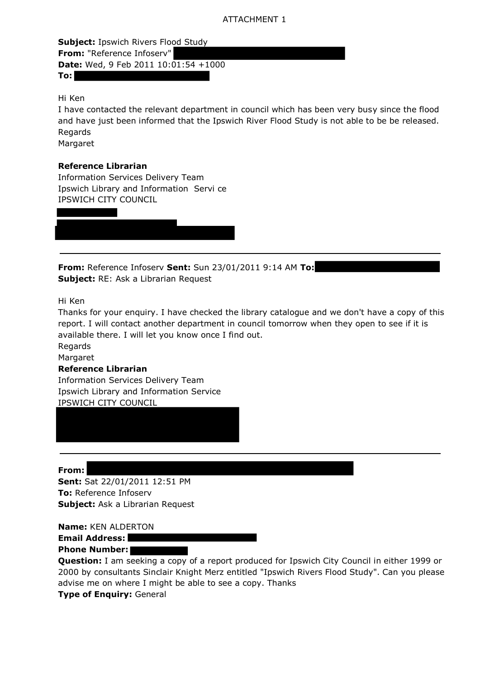## ATTACHMENT 1

**Subject:** Ipswich Rivers Flood Study **From:** "Reference Infoserv" **Date:** Wed, 9 Feb 2011 10:01:54 +1000 **To:**

Hi Ken

I have contacted the relevant department in council which has been very busy since the flood and have just been informed that the Ipswich River Flood Study is not able to be be released. Regards Margaret

## **Reference Librarian**

Information Services Delivery Team Ipswich Library and Information Servi ce IPSWICH CITY COUNCIL

**From:** Reference Infoserv **Sent:** Sun 23/01/2011 9:14 AM **To: Subject:** RE: Ask a Librarian Request

Hi Ken

Thanks for your enquiry. I have checked the library catalogue and we don't have a copy of this report. I will contact another department in council tomorrow when they open to see if it is available there. I will let you know once I find out.

Regards

Margaret

### **Reference Librarian**

Information Services Delivery Team Ipswich Library and Information Service IPSWICH CITY COUNCIL

**From: Sent:** Sat 22/01/2011 12:51 PM **To:** Reference Infoserv **Subject:** Ask a Librarian Request

**Name:** KEN ALDERTON

**Email Address:** 

**Phone Number:** 

**Question:** I am seeking a copy of a report produced for Ipswich City Council in either 1999 or 2000 by consultants Sinclair Knight Merz entitled "Ipswich Rivers Flood Study". Can you please advise me on where I might be able to see a copy. Thanks

**Type of Enquiry:** General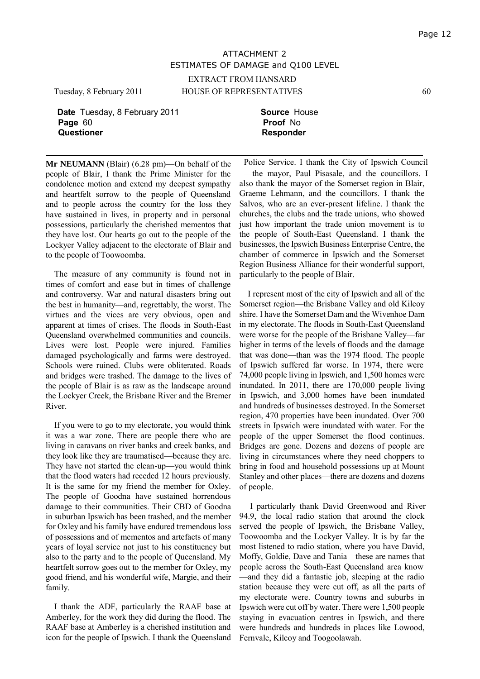# ATTACHMENT 2 ESTIMATES OF DAMAGE and Q100 LEVEL

EXTRACT FROM HANSARD

Tuesday, 8 February 2011 HOUSE OF REPRESENTATIVES 60

**Date** Tuesday, 8 February 2011 **Source House** Page 60 **Proof No. 2012 12:30 Proof No. 2013**<br>Questioner **Responde** 

**Questioner Responder**

**Mr NEUMANN** (Blair) (6.28 pm)—On behalf of the people of Blair, I thank the Prime Minister for the condolence motion and extend my deepest sympathy and heartfelt sorrow to the people of Queensland and to people across the country for the loss they have sustained in lives, in property and in personal possessions, particularly the cherished mementos that they have lost. Our hearts go out to the people of the Lockyer Valley adjacent to the electorate of Blair and to the people of Toowoomba.

The measure of any community is found not in times of comfort and ease but in times of challenge and controversy. War and natural disasters bring out the best in humanity—and, regrettably, the worst. The virtues and the vices are very obvious, open and apparent at times of crises. The floods in South-East Queensland overwhelmed communities and councils. Lives were lost. People were injured. Families damaged psychologically and farms were destroyed. Schools were ruined. Clubs were obliterated. Roads and bridges were trashed. The damage to the lives of the people of Blair is as raw as the landscape around the Lockyer Creek, the Brisbane River and the Bremer River.

If you were to go to my electorate, you would think it was a war zone. There are people there who are living in caravans on river banks and creek banks, and they look like they are traumatised—because they are. They have not started the clean-up—you would think that the flood waters had receded 12 hours previously. It is the same for my friend the member for Oxley. The people of Goodna have sustained horrendous damage to their communities. Their CBD of Goodna in suburban Ipswich has been trashed, and the member for Oxley and his family have endured tremendous loss of possessions and of mementos and artefacts of many years of loyal service not just to his constituency but also to the party and to the people of Queensland. My heartfelt sorrow goes out to the member for Oxley, my good friend, and his wonderful wife, Margie, and their family.

I thank the ADF, particularly the RAAF base at Amberley, for the work they did during the flood. The RAAF base at Amberley is a cherished institution and icon for the people of Ipswich. I thank the Queensland

Police Service. I thank the City of Ipswich Council —the mayor, Paul Pisasale, and the councillors. I also thank the mayor of the Somerset region in Blair, Graeme Lehmann, and the councillors. I thank the Salvos, who are an ever-present lifeline. I thank the churches, the clubs and the trade unions, who showed just how important the trade union movement is to the people of South-East Queensland. I thank the businesses, the Ipswich Business Enterprise Centre, the chamber of commerce in Ipswich and the Somerset Region Business Alliance for their wonderful support, particularly to the people of Blair.

I represent most of the city of Ipswich and all of the Somerset region—the Brisbane Valley and old Kilcoy shire. I have the Somerset Dam and the Wivenhoe Dam in my electorate. The floods in South-East Queensland were worse for the people of the Brisbane Valley—far higher in terms of the levels of floods and the damage that was done—than was the 1974 flood. The people of Ipswich suffered far worse. In 1974, there were 74,000 people living in Ipswich, and 1,500 homes were inundated. In 2011, there are 170,000 people living in Ipswich, and 3,000 homes have been inundated and hundreds of businesses destroyed. In the Somerset region, 470 properties have been inundated. Over 700 streets in Ipswich were inundated with water. For the people of the upper Somerset the flood continues. Bridges are gone. Dozens and dozens of people are living in circumstances where they need choppers to bring in food and household possessions up at Mount Stanley and other places—there are dozens and dozens of people.

I particularly thank David Greenwood and River 94.9, the local radio station that around the clock served the people of Ipswich, the Brisbane Valley, Toowoomba and the Lockyer Valley. It is by far the most listened to radio station, where you have David, Moffy, Goldie, Dave and Tania—these are names that people across the South-East Queensland area know —and they did a fantastic job, sleeping at the radio station because they were cut off, as all the parts of my electorate were. Country towns and suburbs in Ipswich were cut off by water. There were 1,500 people staying in evacuation centres in Ipswich, and there were hundreds and hundreds in places like Lowood, Fernvale, Kilcoy and Toogoolawah.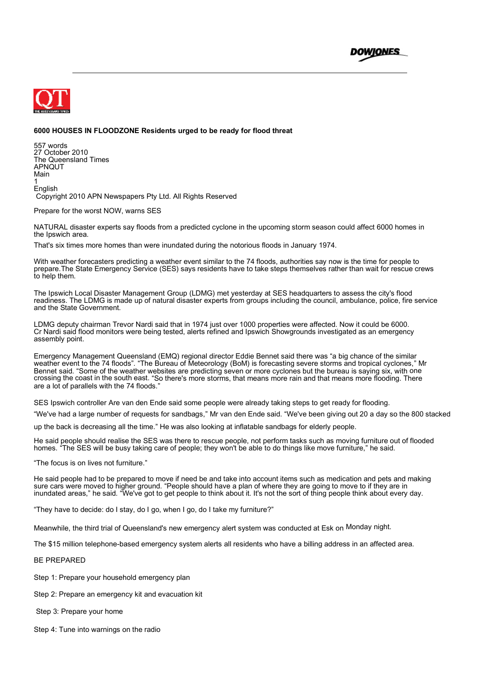



#### **6000 HOUSES IN FLOODZONE Residents urged to be ready for flood threat**

557 words 27 October 2010 The Queensland Times APNQUT Main 1 English Copyright 2010 APN Newspapers Pty Ltd. All Rights Reserved

Prepare for the worst NOW, warns SES

NATURAL disaster experts say floods from a predicted cyclone in the upcoming storm season could affect 6000 homes in the Ipswich area.

That's six times more homes than were inundated during the notorious floods in January 1974.

With weather forecasters predicting a weather event similar to the 74 floods, authorities say now is the time for people to prepare.The State Emergency Service (SES) says residents have to take steps themselves rather than wait for rescue crews to help them.

The Ipswich Local Disaster Management Group (LDMG) met yesterday at SES headquarters to assess the city's flood readiness. The LDMG is made up of natural disaster experts from groups including the council, ambulance, police, fire service and the State Government.

LDMG deputy chairman Trevor Nardi said that in 1974 just over 1000 properties were affected. Now it could be 6000. Cr Nardi said flood monitors were being tested, alerts refined and Ipswich Showgrounds investigated as an emergency assembly point.

Emergency Management Queensland (EMQ) regional director Eddie Bennet said there was "a big chance of the similar weather event to the 74 floods". "The Bureau of Meteorology (BoM) is forecasting severe storms and tropical cyclones," Mr Bennet said. "Some of the weather websites are predicting seven or more cyclones but the bureau is saying six, with one crossing the coast in the south east. "So there's more storms, that means more rain and that means more flooding. There are a lot of parallels with the 74 floods."

SES Ipswich controller Are van den Ende said some people were already taking steps to get ready for flooding.

"We've had a large number of requests for sandbags," Mr van den Ende said. "We've been giving out 20 a day so the 800 stacked

up the back is decreasing all the time." He was also looking at inflatable sandbags for elderly people.

He said people should realise the SES was there to rescue people, not perform tasks such as moving furniture out of flooded homes. "The SES will be busy taking care of people; they won't be able to do things like move furniture," he said.

"The focus is on lives not furniture."

He said people had to be prepared to move if need be and take into account items such as medication and pets and making sure cars were moved to higher ground. "People should have a plan of where they are going to move to if they are in inundated areas," he said. "We've got to get people to think about it. It's not the sort of thing people think about every day.

"They have to decide: do I stay, do I go, when I go, do I take my furniture?"

Meanwhile, the third trial of Queensland's new emergency alert system was conducted at Esk on Monday night.

The \$15 million telephone-based emergency system alerts all residents who have a billing address in an affected area.

#### BE PREPARED

Step 1: Prepare your household emergency plan

Step 2: Prepare an emergency kit and evacuation kit

Step 3: Prepare your home

Step 4: Tune into warnings on the radio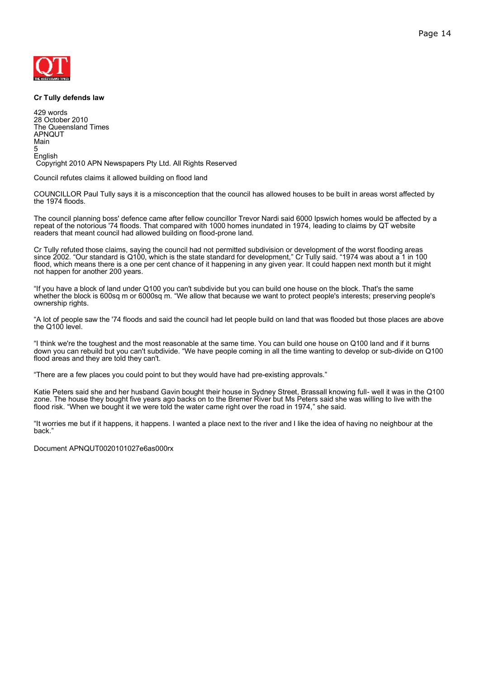

#### **Cr Tully defends law**

429 words 28 October 2010 The Queensland Times APNQUT Main 5 English Copyright 2010 APN Newspapers Pty Ltd. All Rights Reserved

Council refutes claims it allowed building on flood land

COUNCILLOR Paul Tully says it is a misconception that the council has allowed houses to be built in areas worst affected by the 1974 floods.

The council planning boss' defence came after fellow councillor Trevor Nardi said 6000 Ipswich homes would be affected by a repeat of the notorious '74 floods. That compared with 1000 homes inundated in 1974, leading to claims by QT website readers that meant council had allowed building on flood-prone land.

Cr Tully refuted those claims, saying the council had not permitted subdivision or development of the worst flooding areas since 2002. "Our standard is Q100, which is the state standard for development," Cr Tully said. "1974 was about a 1 in 100 flood, which means there is a one per cent chance of it happening in any given year. It could happen next month but it might not happen for another 200 years.

"If you have a block of land under Q100 you can't subdivide but you can build one house on the block. That's the same whether the block is 600sq m or 6000sq m. "We allow that because we want to protect people's interests; preserving people's ownership rights.

"A lot of people saw the '74 floods and said the council had let people build on land that was flooded but those places are above the Q100 level.

"I think we're the toughest and the most reasonable at the same time. You can build one house on Q100 land and if it burns down you can rebuild but you can't subdivide. "We have people coming in all the time wanting to develop or sub-divide on Q100 flood areas and they are told they can't.

"There are a few places you could point to but they would have had pre-existing approvals."

Katie Peters said she and her husband Gavin bought their house in Sydney Street, Brassall knowing full- well it was in the Q100 zone. The house they bought five years ago backs on to the Bremer River but Ms Peters said she was willing to live with the flood risk. "When we bought it we were told the water came right over the road in 1974," she said.

"It worries me but if it happens, it happens. I wanted a place next to the river and I like the idea of having no neighbour at the back."

Document APNQUT0020101027e6as000rx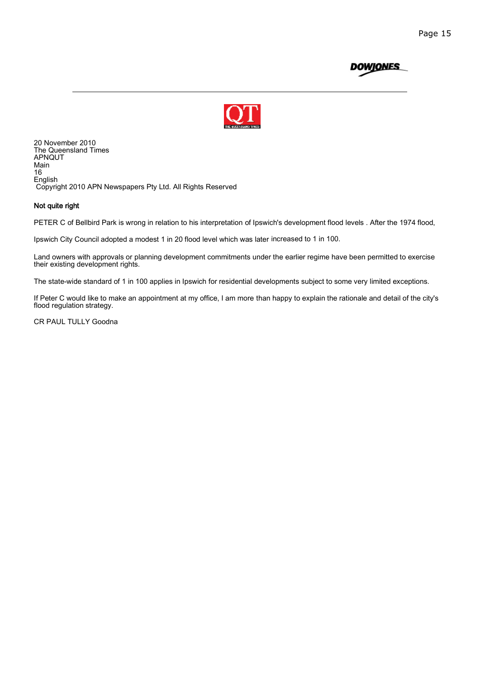



20 November 2010 The Queensland Times APNQUT Main 16 English Copyright 2010 APN Newspapers Pty Ltd. All Rights Reserved

#### Not quite right

PETER C of Bellbird Park is wrong in relation to his interpretation of Ipswich's development flood levels . After the 1974 flood,

Ipswich City Council adopted a modest 1 in 20 flood level which was later increased to 1 in 100.

Land owners with approvals or planning development commitments under the earlier regime have been permitted to exercise their existing development rights.

The state-wide standard of 1 in 100 applies in Ipswich for residential developments subject to some very limited exceptions.

If Peter C would like to make an appointment at my office, I am more than happy to explain the rationale and detail of the city's flood regulation strategy.

CR PAUL TULLY Goodna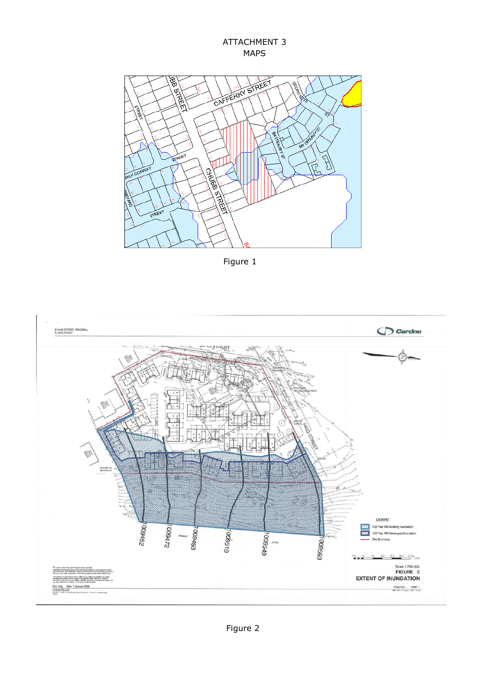ATTACHMENT 3 MAPS



Figure 1

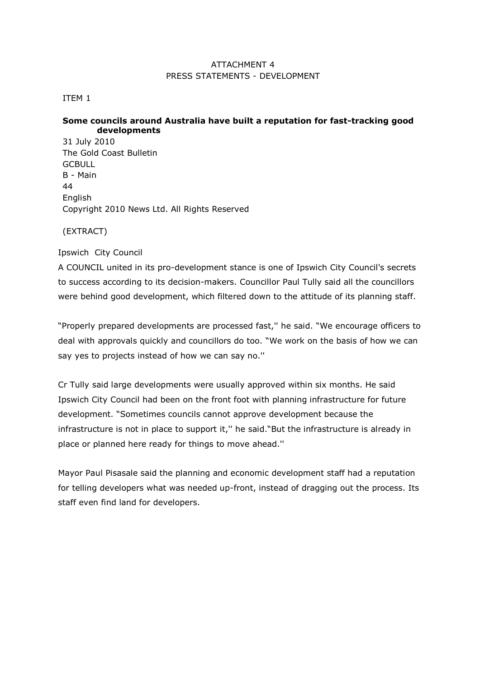## ATTACHMENT 4 PRESS STATEMENTS - DEVELOPMENT

### ITEM 1

## **Some councils around Australia have built a reputation for fast-tracking good developments**

31 July 2010 The Gold Coast Bulletin **GCBULL** B - Main 44 English Copyright 2010 News Ltd. All Rights Reserved

(EXTRACT)

## Ipswich City Council

A COUNCIL united in its pro-development stance is one of Ipswich City Council's secrets to success according to its decision-makers. Councillor Paul Tully said all the councillors were behind good development, which filtered down to the attitude of its planning staff.

―Properly prepared developments are processed fast,'' he said. ―We encourage officers to deal with approvals quickly and councillors do too. "We work on the basis of how we can say yes to projects instead of how we can say no.''

Cr Tully said large developments were usually approved within six months. He said Ipswich City Council had been on the front foot with planning infrastructure for future development. "Sometimes councils cannot approve development because the infrastructure is not in place to support it," he said. "But the infrastructure is already in place or planned here ready for things to move ahead.''

Mayor Paul Pisasale said the planning and economic development staff had a reputation for telling developers what was needed up-front, instead of dragging out the process. Its staff even find land for developers.